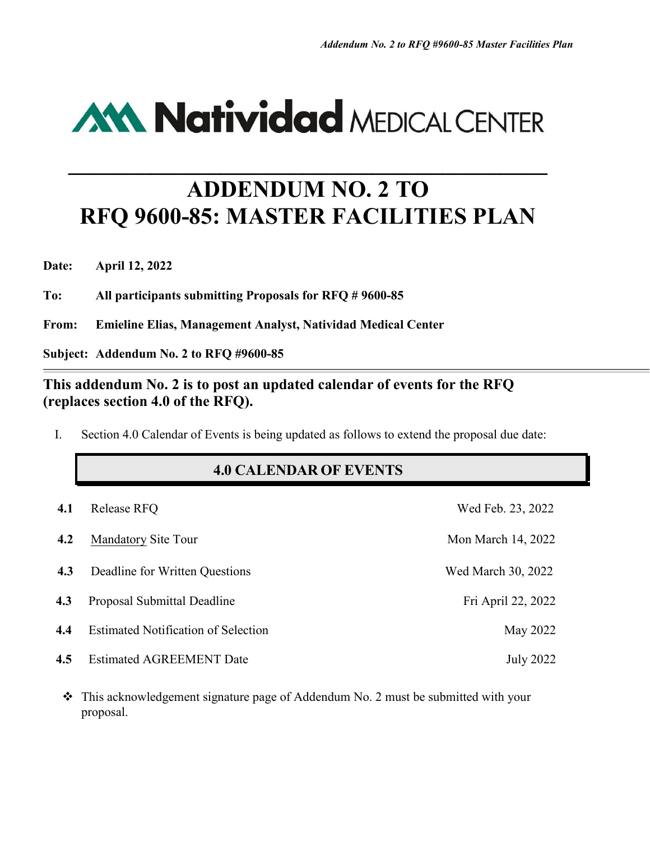# **AM Natividad MEDICAL CENTER**

## **ADDENDUM NO. 2 TO RFQ 9600-85: MASTER FACILITIES PLAN**

**\_\_\_\_\_\_\_\_\_\_\_\_\_\_\_\_\_\_\_\_\_\_\_\_\_\_\_\_\_\_\_\_\_\_\_\_\_\_\_\_\_**

**Date: April 12, 2022**

**To: All participants submitting Proposals for RFQ # 9600-85**

**From: Emieline Elias, Management Analyst, Natividad Medical Center**

**Subject: Addendum No. 2 to RFQ #9600-85**

#### **This addendum No. 2 is to post an updated calendar of events for the RFQ (replaces section 4.0 of the RFQ).**

I. Section 4.0 Calendar of Events is being updated as follows to extend the proposal due date:

#### **4.0 CALENDAR OF EVENTS**

| 4.1 | Release RFQ                                | Wed Feb. 23, 2022  |
|-----|--------------------------------------------|--------------------|
| 4.2 | <b>Mandatory Site Tour</b>                 | Mon March 14, 2022 |
| 4.3 | Deadline for Written Questions             | Wed March 30, 2022 |
| 4.3 | Proposal Submittal Deadline                | Fri April 22, 2022 |
| 4.4 | <b>Estimated Notification of Selection</b> | May 2022           |
| 4.5 | <b>Estimated AGREEMENT Date</b>            | July 2022          |

 This acknowledgement signature page of Addendum No. 2 must be submitted with your proposal.